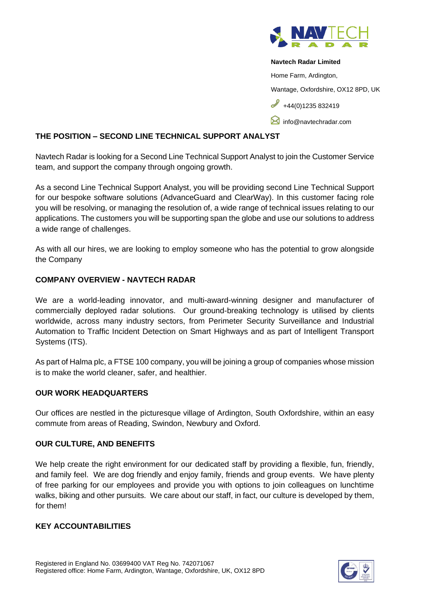

#### **Navtech Radar Limited**

Home Farm, Ardington,

Wantage, Oxfordshire, OX12 8PD, UK

 $\frac{1}{144(0)1235832419}$ 

**M** [info@navtechradar.com](mailto:info@navtechradar.com)

# **THE POSITION – SECOND LINE TECHNICAL SUPPORT ANALYST**

Navtech Radar is looking for a Second Line Technical Support Analyst to join the Customer Service team, and support the company through ongoing growth.

As a second Line Technical Support Analyst, you will be providing second Line Technical Support for our bespoke software solutions (AdvanceGuard and ClearWay). In this customer facing role you will be resolving, or managing the resolution of, a wide range of technical issues relating to our applications. The customers you will be supporting span the globe and use our solutions to address a wide range of challenges.

As with all our hires, we are looking to employ someone who has the potential to grow alongside the Company

# **COMPANY OVERVIEW - NAVTECH RADAR**

We are a world-leading innovator, and multi-award-winning designer and manufacturer of commercially deployed radar solutions. Our ground-breaking technology is utilised by clients worldwide, across many industry sectors, from Perimeter Security Surveillance and Industrial Automation to Traffic Incident Detection on Smart Highways and as part of Intelligent Transport Systems (ITS).

As part of Halma plc, a FTSE 100 company, you will be joining a group of companies whose mission is to make the world cleaner, safer, and healthier.

## **OUR WORK HEADQUARTERS**

Our offices are nestled in the picturesque village of Ardington, South Oxfordshire, within an easy commute from areas of Reading, Swindon, Newbury and Oxford.

## **OUR CULTURE, AND BENEFITS**

We help create the right environment for our dedicated staff by providing a flexible, fun, friendly, and family feel. We are dog friendly and enjoy family, friends and group events. We have plenty of free parking for our employees and provide you with options to join colleagues on lunchtime walks, biking and other pursuits. We care about our staff, in fact, our culture is developed by them, for them!

### **KEY ACCOUNTABILITIES**